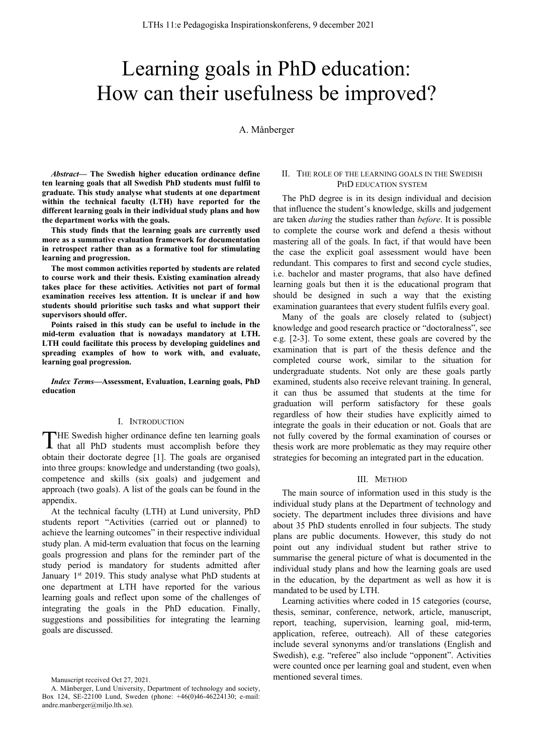# Learning goals in PhD education: How can their usefulness be improved?

A. Månberger

*Abstract***— The Swedish higher education ordinance define ten learning goals that all Swedish PhD students must fulfil to graduate. This study analyse what students at one department within the technical faculty (LTH) have reported for the different learning goals in their individual study plans and how the department works with the goals.**

**This study finds that the learning goals are currently used more as a summative evaluation framework for documentation in retrospect rather than as a formative tool for stimulating learning and progression.**

**The most common activities reported by students are related to course work and their thesis. Existing examination already takes place for these activities. Activities not part of formal examination receives less attention. It is unclear if and how students should prioritise such tasks and what support their supervisors should offer.**

**Points raised in this study can be useful to include in the mid-term evaluation that is nowadays mandatory at LTH. LTH could facilitate this process by developing guidelines and spreading examples of how to work with, and evaluate, learning goal progression.**

*Index Terms***—Assessment, Evaluation, Learning goals, PhD education**

#### I. INTRODUCTION

HE Swedish higher ordinance define ten learning goals THE Swedish higher ordinance define ten learning goals<br>that all PhD students must accomplish before they obtain their doctorate degree [1]. The goals are organised into three groups: knowledge and understanding (two goals), competence and skills (six goals) and judgement and approach (two goals). A list of the goals can be found in the appendix.

At the technical faculty (LTH) at Lund university, PhD students report "Activities (carried out or planned) to achieve the learning outcomes" in their respective individual study plan. A mid-term evaluation that focus on the learning goals progression and plans for the reminder part of the study period is mandatory for students admitted after January  $1<sup>st</sup>$  2019. This study analyse what PhD students at one department at LTH have reported for the various learning goals and reflect upon some of the challenges of integrating the goals in the PhD education. Finally, suggestions and possibilities for integrating the learning goals are discussed.

# II. THE ROLE OF THE LEARNING GOALS IN THE SWEDISH PHD EDUCATION SYSTEM

The PhD degree is in its design individual and decision that influence the student's knowledge, skills and judgement are taken *during* the studies rather than *before*. It is possible to complete the course work and defend a thesis without mastering all of the goals. In fact, if that would have been the case the explicit goal assessment would have been redundant. This compares to first and second cycle studies, i.e. bachelor and master programs, that also have defined learning goals but then it is the educational program that should be designed in such a way that the existing examination guarantees that every student fulfils every goal.

Many of the goals are closely related to (subject) knowledge and good research practice or "doctoralness", see e.g. [2-3]. To some extent, these goals are covered by the examination that is part of the thesis defence and the completed course work, similar to the situation for undergraduate students. Not only are these goals partly examined, students also receive relevant training. In general, it can thus be assumed that students at the time for graduation will perform satisfactory for these goals regardless of how their studies have explicitly aimed to integrate the goals in their education or not. Goals that are not fully covered by the formal examination of courses or thesis work are more problematic as they may require other strategies for becoming an integrated part in the education.

#### III. METHOD

The main source of information used in this study is the individual study plans at the Department of technology and society. The department includes three divisions and have about 35 PhD students enrolled in four subjects. The study plans are public documents. However, this study do not point out any individual student but rather strive to summarise the general picture of what is documented in the individual study plans and how the learning goals are used in the education, by the department as well as how it is mandated to be used by LTH.

Learning activities where coded in 15 categories (course, thesis, seminar, conference, network, article, manuscript, report, teaching, supervision, learning goal, mid-term, application, referee, outreach). All of these categories include several synonyms and/or translations (English and Swedish), e.g. "referee" also include "opponent". Activities were counted once per learning goal and student, even when mentioned several times.

Manuscript received Oct 27, 2021.

A. Månberger, Lund University, Department of technology and society, Box 124, SE-22100 Lund, Sweden (phone: +46(0)46-46224130; e-mail: andre.manberger@miljo.lth.se).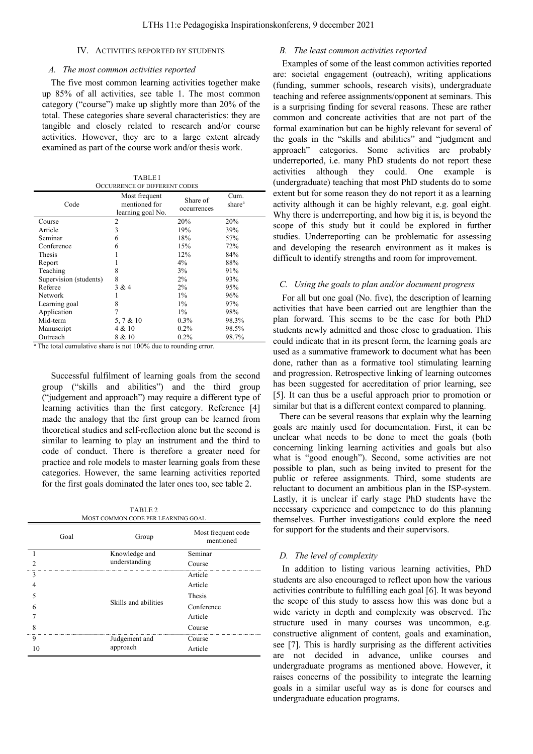#### IV. ACTIVITIES REPORTED BY STUDENTS

#### *A. The most common activities reported*

The five most common learning activities together make up 85% of all activities, see table 1. The most common category ("course") make up slightly more than 20% of the total. These categories share several characteristics: they are tangible and closely related to research and/or course activities. However, they are to a large extent already examined as part of the course work and/or thesis work.

| <b>TABLEI</b>                        |
|--------------------------------------|
| <b>OCCURRENCE OF DIFFERENT CODES</b> |

| Code                   | Most frequent<br>mentioned for<br>learning goal No. | Share of<br>occurrences | Cum.<br>share <sup>a</sup> |
|------------------------|-----------------------------------------------------|-------------------------|----------------------------|
| Course                 | $\overline{2}$                                      | 20%                     | 20%                        |
| Article                | 3                                                   | 19%                     | 39%                        |
| Seminar                | 6                                                   | 18%                     | 57%                        |
| Conference             | 6                                                   | 15%                     | 72%                        |
| <b>Thesis</b>          |                                                     | 12%                     | 84%                        |
| Report                 |                                                     | 4%                      | 88%                        |
| Teaching               | 8                                                   | 3%                      | 91%                        |
| Supervision (students) | 8                                                   | 2%                      | 93%                        |
| Referee                | 3 & 4                                               | 2%                      | 95%                        |
| Network                |                                                     | $1\%$                   | 96%                        |
| Learning goal          | 8                                                   | $1\%$                   | 97%                        |
| Application            | 7                                                   | $1\%$                   | 98%                        |
| Mid-term               | 5, 7 & 10                                           | $0.3\%$                 | 98.3%                      |
| Manuscript             | 4 & 10                                              | $0.2\%$                 | 98.5%                      |
| Outreach               | 8 & 10                                              | $0.2\%$                 | 98.7%                      |

The total cumulative share is not 100% due to rounding error.

Successful fulfilment of learning goals from the second group ("skills and abilities") and the third group ("judgement and approach") may require a different type of learning activities than the first category. Reference [4] made the analogy that the first group can be learned from theoretical studies and self-reflection alone but the second is similar to learning to play an instrument and the third to code of conduct. There is therefore a greater need for practice and role models to master learning goals from these categories. However, the same learning activities reported for the first goals dominated the later ones too, see table 2.

| TABLE 2                             |  |
|-------------------------------------|--|
| MOST COMMON CODE PER I EARNING GOAL |  |

|   | Goal | Group                | Most frequent code<br>mentioned |
|---|------|----------------------|---------------------------------|
|   |      | Knowledge and        | Seminar                         |
|   |      | understanding        | Course                          |
|   |      | Skills and abilities | Article                         |
|   |      |                      | Article                         |
|   |      |                      | Thesis                          |
| 6 |      |                      | Conference                      |
|   |      |                      | Article                         |
|   |      |                      | Course                          |
| 9 |      | Judgement and        | Course                          |
|   |      | approach             | Article                         |

# *B. The least common activities reported*

Examples of some of the least common activities reported are: societal engagement (outreach), writing applications (funding, summer schools, research visits), undergraduate teaching and referee assignments/opponent at seminars. This is a surprising finding for several reasons. These are rather common and concreate activities that are not part of the formal examination but can be highly relevant for several of the goals in the "skills and abilities" and "judgment and approach" categories. Some activities are probably underreported, i.e. many PhD students do not report these activities although they could. One example is (undergraduate) teaching that most PhD students do to some extent but for some reason they do not report it as a learning activity although it can be highly relevant, e.g. goal eight. Why there is underreporting, and how big it is, is beyond the scope of this study but it could be explored in further studies. Underreporting can be problematic for assessing and developing the research environment as it makes is difficult to identify strengths and room for improvement.

## *C. Using the goals to plan and/or document progress*

For all but one goal (No. five), the description of learning activities that have been carried out are lengthier than the plan forward. This seems to be the case for both PhD students newly admitted and those close to graduation. This could indicate that in its present form, the learning goals are used as a summative framework to document what has been done, rather than as a formative tool stimulating learning and progression. Retrospective linking of learning outcomes has been suggested for accreditation of prior learning, see [5]. It can thus be a useful approach prior to promotion or similar but that is a different context compared to planning.

There can be several reasons that explain why the learning goals are mainly used for documentation. First, it can be unclear what needs to be done to meet the goals (both concerning linking learning activities and goals but also what is "good enough"). Second, some activities are not possible to plan, such as being invited to present for the public or referee assignments. Third, some students are reluctant to document an ambitious plan in the ISP-system. Lastly, it is unclear if early stage PhD students have the necessary experience and competence to do this planning themselves. Further investigations could explore the need for support for the students and their supervisors.

## *D. The level of complexity*

In addition to listing various learning activities, PhD students are also encouraged to reflect upon how the various activities contribute to fulfilling each goal [6]. It was beyond the scope of this study to assess how this was done but a wide variety in depth and complexity was observed. The structure used in many courses was uncommon, e.g. constructive alignment of content, goals and examination, see [7]. This is hardly surprising as the different activities are not decided in advance, unlike courses and undergraduate programs as mentioned above. However, it raises concerns of the possibility to integrate the learning goals in a similar useful way as is done for courses and undergraduate education programs.